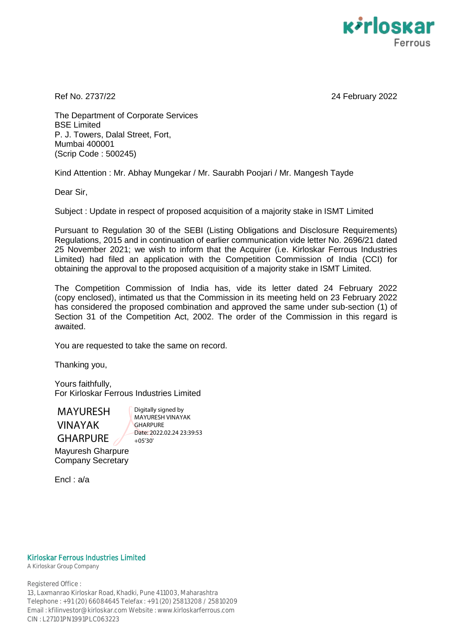

Ref No. 2737/22 24 February 2022

The Department of Corporate Services BSE Limited P. J. Towers, Dalal Street, Fort, Mumbai 400001 (Scrip Code : 500245)

Kind Attention : Mr. Abhay Mungekar / Mr. Saurabh Poojari / Mr. Mangesh Tayde

Dear Sir,

Subject : Update in respect of proposed acquisition of a majority stake in ISMT Limited

Pursuant to Regulation 30 of the SEBI (Listing Obligations and Disclosure Requirements) Regulations, 2015 and in continuation of earlier communication vide letter No. 2696/21 dated 25 November 2021; we wish to inform that the Acquirer (i.e. Kirloskar Ferrous Industries Limited) had filed an application with the Competition Commission of India (CCI) for obtaining the approval to the proposed acquisition of a majority stake in ISMT Limited.

The Competition Commission of India has, vide its letter dated 24 February 2022 (copy enclosed), intimated us that the Commission in its meeting held on 23 February 2022 has considered the proposed combination and approved the same under sub-section (1) of Section 31 of the Competition Act, 2002. The order of the Commission in this regard is awaited.

You are requested to take the same on record.

Thanking you,

Yours faithfully, For Kirloskar Ferrous Industries Limited

MAYURESH VINAYAK **GHARPURE** 

Digitally signed by MAYURESH VINAYAK **GHARPURE** Date: 2022.02.24 23:39:53  $+05'30'$ 

Mayuresh Gharpure Company Secretary

Encl : a/a

## Kirloskar Ferrous Industries Limited

A Kirloskar Group Company

Registered Office : 13, Laxmanrao Kirloskar Road, Khadki, Pune 411003, Maharashtra Telephone : +91 (20) 66084645 Telefax : +91 (20) 25813208 / 25810209 Email : kfilinvestor@kirloskar.com Website : www.kirloskarferrous.com CIN : L27101PN1991PLC063223